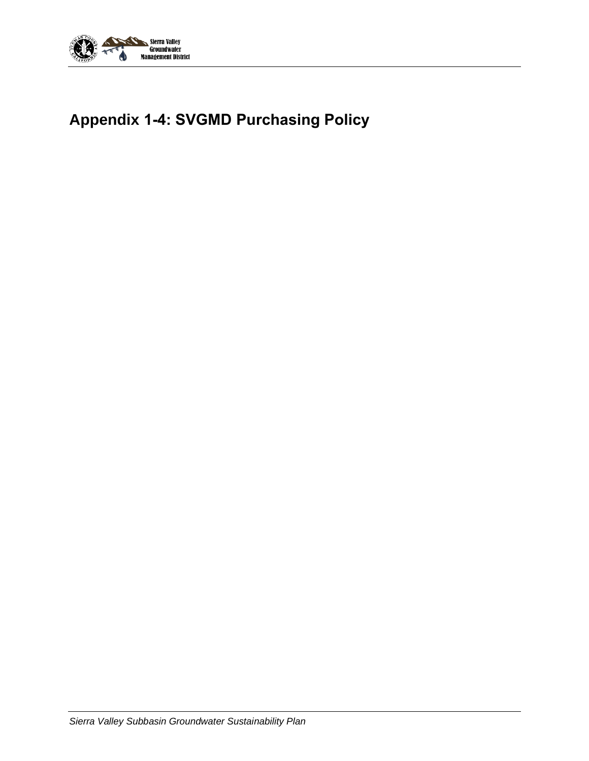

# **Appendix 1-4: SVGMD Purchasing Policy**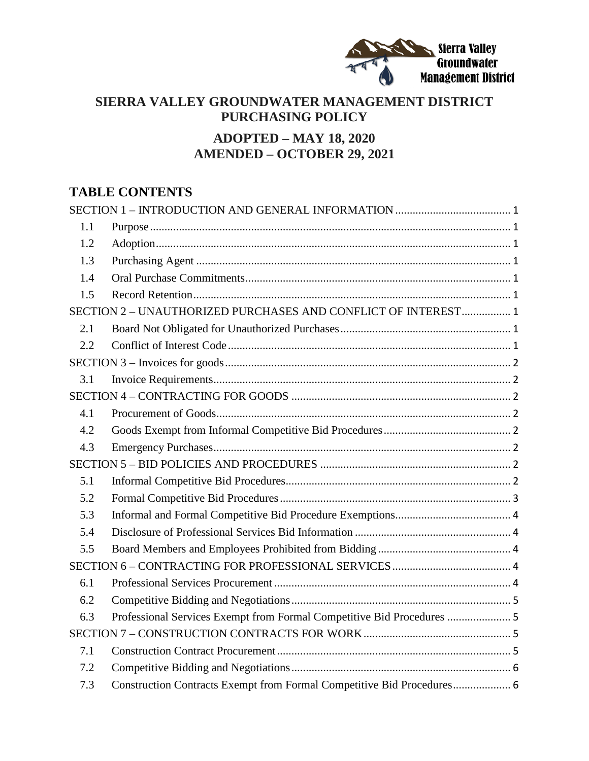

# **SIERRA VALLEY GROUNDWATER MANAGEMENT DISTRICT PURCHASING POLICY ADOPTED – MAY 18, 2020**

# **AMENDED – OCTOBER 29, 2021**

# **TABLE CONTENTS**

| 1.1                                                           |                                                                        |  |
|---------------------------------------------------------------|------------------------------------------------------------------------|--|
| 1.2                                                           |                                                                        |  |
| 1.3                                                           |                                                                        |  |
| 1.4                                                           |                                                                        |  |
| 1.5                                                           |                                                                        |  |
| SECTION 2 - UNAUTHORIZED PURCHASES AND CONFLICT OF INTEREST 1 |                                                                        |  |
| 2.1                                                           |                                                                        |  |
| 2.2                                                           |                                                                        |  |
|                                                               |                                                                        |  |
| 3.1                                                           |                                                                        |  |
|                                                               |                                                                        |  |
| 4.1                                                           |                                                                        |  |
| 4.2                                                           |                                                                        |  |
| 4.3                                                           |                                                                        |  |
|                                                               |                                                                        |  |
| 5.1                                                           |                                                                        |  |
| 5.2                                                           |                                                                        |  |
| 5.3                                                           |                                                                        |  |
| 5.4                                                           |                                                                        |  |
| 5.5                                                           |                                                                        |  |
|                                                               |                                                                        |  |
| 6.1                                                           |                                                                        |  |
| 6.2                                                           |                                                                        |  |
| 6.3                                                           | Professional Services Exempt from Formal Competitive Bid Procedures  5 |  |
|                                                               |                                                                        |  |
| 7.1                                                           |                                                                        |  |
| 7.2                                                           |                                                                        |  |
| 7.3                                                           | Construction Contracts Exempt from Formal Competitive Bid Procedures 6 |  |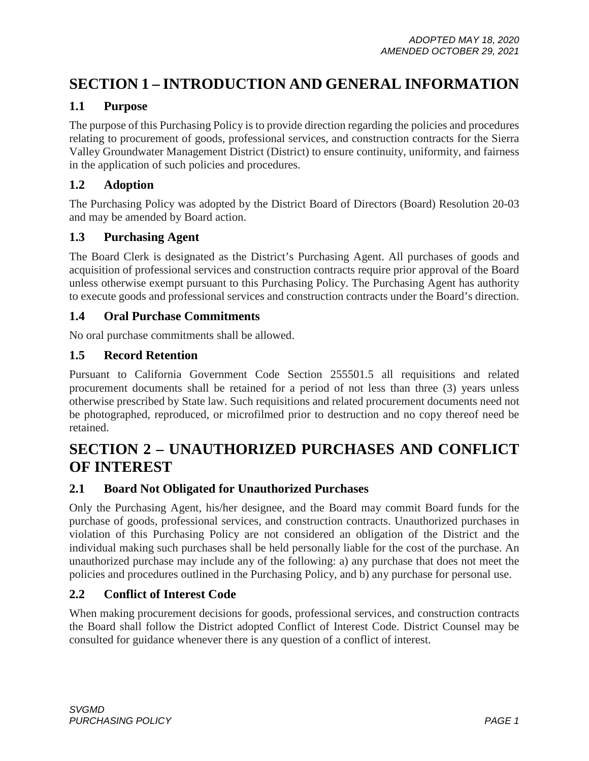# <span id="page-2-0"></span>**SECTION 1 – INTRODUCTION AND GENERAL INFORMATION**

#### <span id="page-2-1"></span>**1.1 Purpose**

The purpose of this Purchasing Policy is to provide direction regarding the policies and procedures relating to procurement of goods, professional services, and construction contracts for the Sierra Valley Groundwater Management District (District) to ensure continuity, uniformity, and fairness in the application of such policies and procedures.

### <span id="page-2-2"></span>**1.2 Adoption**

The Purchasing Policy was adopted by the District Board of Directors (Board) Resolution 20-03 and may be amended by Board action.

#### <span id="page-2-3"></span>**1.3 Purchasing Agent**

The Board Clerk is designated as the District's Purchasing Agent. All purchases of goods and acquisition of professional services and construction contracts require prior approval of the Board unless otherwise exempt pursuant to this Purchasing Policy. The Purchasing Agent has authority to execute goods and professional services and construction contracts under the Board's direction.

#### <span id="page-2-4"></span>**1.4 Oral Purchase Commitments**

No oral purchase commitments shall be allowed.

#### <span id="page-2-5"></span>**1.5 Record Retention**

Pursuant to California Government Code Section 255501.5 all requisitions and related procurement documents shall be retained for a period of not less than three (3) years unless otherwise prescribed by State law. Such requisitions and related procurement documents need not be photographed, reproduced, or microfilmed prior to destruction and no copy thereof need be retained.

# <span id="page-2-6"></span>**SECTION 2 – UNAUTHORIZED PURCHASES AND CONFLICT OF INTEREST**

#### <span id="page-2-7"></span>**2.1 Board Not Obligated for Unauthorized Purchases**

Only the Purchasing Agent, his/her designee, and the Board may commit Board funds for the purchase of goods, professional services, and construction contracts. Unauthorized purchases in violation of this Purchasing Policy are not considered an obligation of the District and the individual making such purchases shall be held personally liable for the cost of the purchase. An unauthorized purchase may include any of the following: a) any purchase that does not meet the policies and procedures outlined in the Purchasing Policy, and b) any purchase for personal use.

### <span id="page-2-8"></span>**2.2 Conflict of Interest Code**

When making procurement decisions for goods, professional services, and construction contracts the Board shall follow the District adopted Conflict of Interest Code. District Counsel may be consulted for guidance whenever there is any question of a conflict of interest.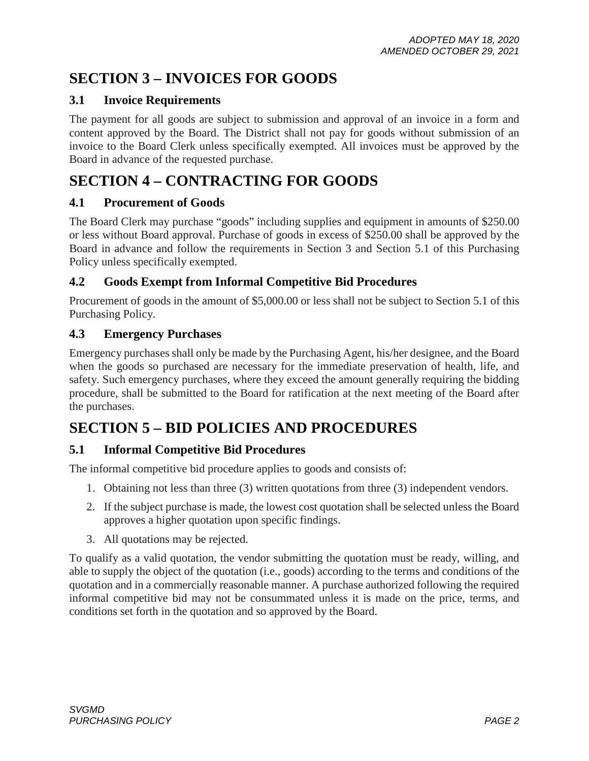# <span id="page-3-0"></span>**SECTION 3 – INVOICES FOR GOODS**

### <span id="page-3-1"></span>**3.1 Invoice Requirements**

The payment for all goods are subject to submission and approval of an invoice in a form and content approved by the Board. The District shall not pay for goods without submission of an invoice to the Board Clerk unless specifically exempted. All invoices must be approved by the Board in advance of the requested purchase.

# <span id="page-3-2"></span>**SECTION 4 – CONTRACTING FOR GOODS**

### <span id="page-3-3"></span>**4.1 Procurement of Goods**

The Board Clerk may purchase "goods" including supplies and equipment in amounts of \$250.00 or less without Board approval. Purchase of goods in excess of \$250.00 shall be approved by the Board in advance and follow the requirements in Section 3 and Section 5.1 of this Purchasing Policy unless specifically exempted.

## <span id="page-3-4"></span>**4.2 Goods Exempt from Informal Competitive Bid Procedures**

Procurement of goods in the amount of \$5,000.00 or less shall not be subject to Section 5.1 of this Purchasing Policy.

## <span id="page-3-5"></span>**4.3 Emergency Purchases**

Emergency purchases shall only be made by the Purchasing Agent, his/her designee, and the Board when the goods so purchased are necessary for the immediate preservation of health, life, and safety. Such emergency purchases, where they exceed the amount generally requiring the bidding procedure, shall be submitted to the Board for ratification at the next meeting of the Board after the purchases.

# <span id="page-3-6"></span>**SECTION 5 – BID POLICIES AND PROCEDURES**

## <span id="page-3-7"></span>**5.1 Informal Competitive Bid Procedures**

The informal competitive bid procedure applies to goods and consists of:

- 1. Obtaining not less than three (3) written quotations from three (3) independent vendors.
- 2. If the subject purchase is made, the lowest cost quotation shall be selected unless the Board approves a higher quotation upon specific findings.
- 3. All quotations may be rejected.

To qualify as a valid quotation, the vendor submitting the quotation must be ready, willing, and able to supply the object of the quotation (i.e., goods) according to the terms and conditions of the quotation and in a commercially reasonable manner. A purchase authorized following the required informal competitive bid may not be consummated unless it is made on the price, terms, and conditions set forth in the quotation and so approved by the Board.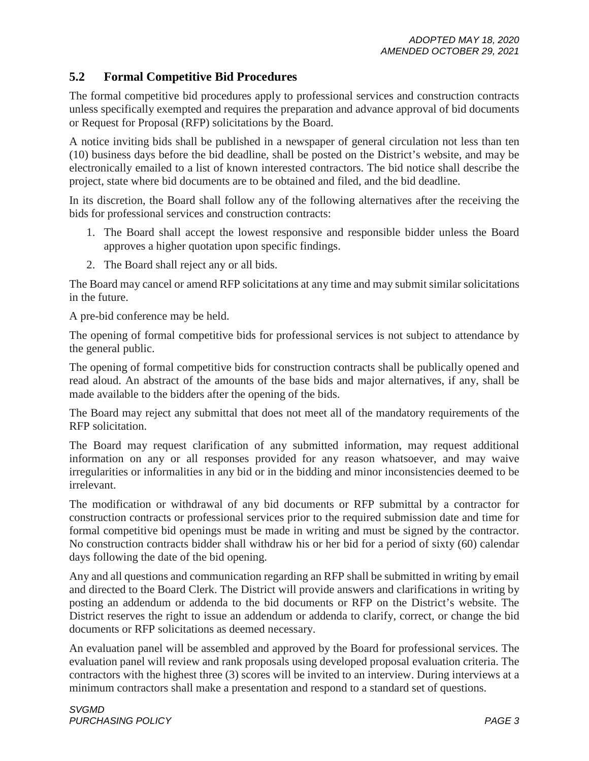### <span id="page-4-0"></span>**5.2 Formal Competitive Bid Procedures**

The formal competitive bid procedures apply to professional services and construction contracts unless specifically exempted and requires the preparation and advance approval of bid documents or Request for Proposal (RFP) solicitations by the Board.

A notice inviting bids shall be published in a newspaper of general circulation not less than ten (10) business days before the bid deadline, shall be posted on the District's website, and may be electronically emailed to a list of known interested contractors. The bid notice shall describe the project, state where bid documents are to be obtained and filed, and the bid deadline.

In its discretion, the Board shall follow any of the following alternatives after the receiving the bids for professional services and construction contracts:

- 1. The Board shall accept the lowest responsive and responsible bidder unless the Board approves a higher quotation upon specific findings.
- 2. The Board shall reject any or all bids.

The Board may cancel or amend RFP solicitations at any time and may submit similar solicitations in the future.

A pre-bid conference may be held.

The opening of formal competitive bids for professional services is not subject to attendance by the general public.

The opening of formal competitive bids for construction contracts shall be publically opened and read aloud. An abstract of the amounts of the base bids and major alternatives, if any, shall be made available to the bidders after the opening of the bids.

The Board may reject any submittal that does not meet all of the mandatory requirements of the RFP solicitation.

The Board may request clarification of any submitted information, may request additional information on any or all responses provided for any reason whatsoever, and may waive irregularities or informalities in any bid or in the bidding and minor inconsistencies deemed to be irrelevant.

The modification or withdrawal of any bid documents or RFP submittal by a contractor for construction contracts or professional services prior to the required submission date and time for formal competitive bid openings must be made in writing and must be signed by the contractor. No construction contracts bidder shall withdraw his or her bid for a period of sixty (60) calendar days following the date of the bid opening.

Any and all questions and communication regarding an RFP shall be submitted in writing by email and directed to the Board Clerk. The District will provide answers and clarifications in writing by posting an addendum or addenda to the bid documents or RFP on the District's website. The District reserves the right to issue an addendum or addenda to clarify, correct, or change the bid documents or RFP solicitations as deemed necessary.

An evaluation panel will be assembled and approved by the Board for professional services. The evaluation panel will review and rank proposals using developed proposal evaluation criteria. The contractors with the highest three (3) scores will be invited to an interview. During interviews at a minimum contractors shall make a presentation and respond to a standard set of questions.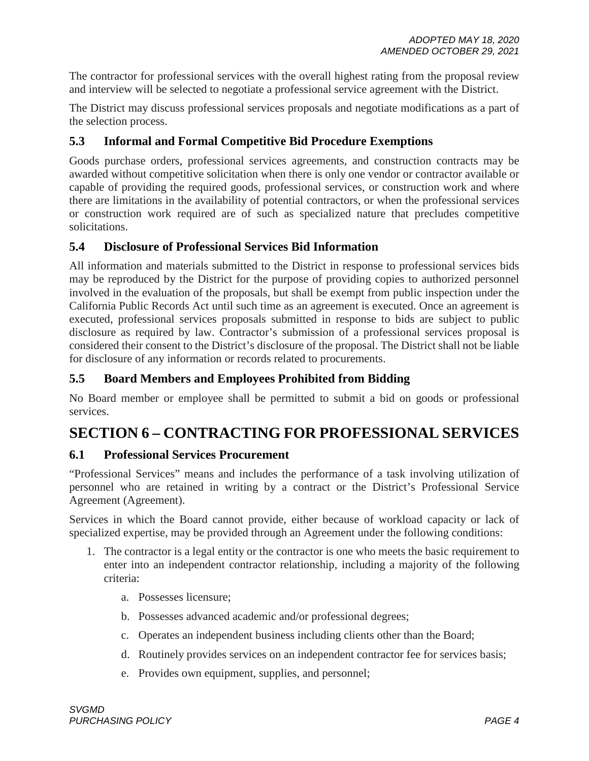The contractor for professional services with the overall highest rating from the proposal review and interview will be selected to negotiate a professional service agreement with the District.

The District may discuss professional services proposals and negotiate modifications as a part of the selection process.

### <span id="page-5-0"></span>**5.3 Informal and Formal Competitive Bid Procedure Exemptions**

Goods purchase orders, professional services agreements, and construction contracts may be awarded without competitive solicitation when there is only one vendor or contractor available or capable of providing the required goods, professional services, or construction work and where there are limitations in the availability of potential contractors, or when the professional services or construction work required are of such as specialized nature that precludes competitive solicitations.

#### <span id="page-5-1"></span>**5.4 Disclosure of Professional Services Bid Information**

All information and materials submitted to the District in response to professional services bids may be reproduced by the District for the purpose of providing copies to authorized personnel involved in the evaluation of the proposals, but shall be exempt from public inspection under the California Public Records Act until such time as an agreement is executed. Once an agreement is executed, professional services proposals submitted in response to bids are subject to public disclosure as required by law. Contractor's submission of a professional services proposal is considered their consent to the District's disclosure of the proposal. The District shall not be liable for disclosure of any information or records related to procurements.

#### <span id="page-5-2"></span>**5.5 Board Members and Employees Prohibited from Bidding**

No Board member or employee shall be permitted to submit a bid on goods or professional services.

# <span id="page-5-3"></span>**SECTION 6 – CONTRACTING FOR PROFESSIONAL SERVICES**

#### <span id="page-5-4"></span>**6.1 Professional Services Procurement**

"Professional Services" means and includes the performance of a task involving utilization of personnel who are retained in writing by a contract or the District's Professional Service Agreement (Agreement).

Services in which the Board cannot provide, either because of workload capacity or lack of specialized expertise, may be provided through an Agreement under the following conditions:

- 1. The contractor is a legal entity or the contractor is one who meets the basic requirement to enter into an independent contractor relationship, including a majority of the following criteria:
	- a. Possesses licensure;
	- b. Possesses advanced academic and/or professional degrees;
	- c. Operates an independent business including clients other than the Board;
	- d. Routinely provides services on an independent contractor fee for services basis;
	- e. Provides own equipment, supplies, and personnel;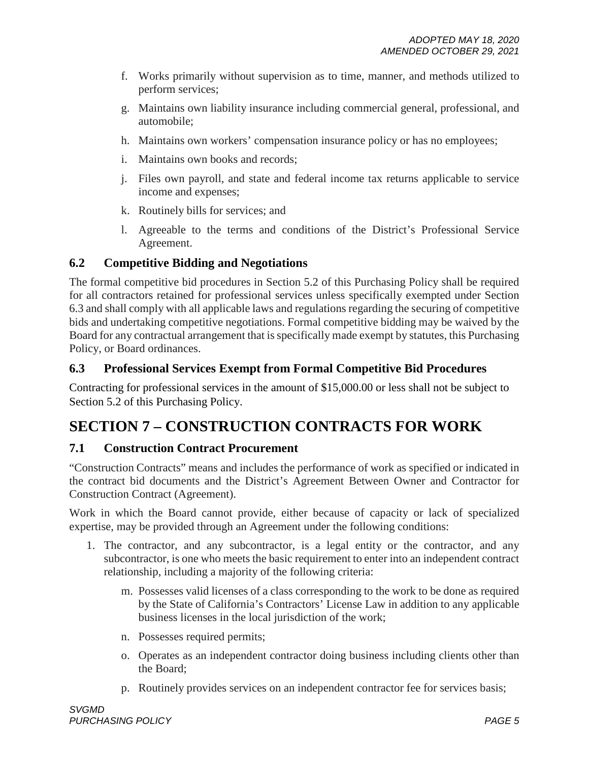- f. Works primarily without supervision as to time, manner, and methods utilized to perform services;
- g. Maintains own liability insurance including commercial general, professional, and automobile;
- h. Maintains own workers' compensation insurance policy or has no employees;
- i. Maintains own books and records;
- j. Files own payroll, and state and federal income tax returns applicable to service income and expenses;
- k. Routinely bills for services; and
- l. Agreeable to the terms and conditions of the District's Professional Service Agreement.

## <span id="page-6-0"></span>**6.2 Competitive Bidding and Negotiations**

The formal competitive bid procedures in Section 5.2 of this Purchasing Policy shall be required for all contractors retained for professional services unless specifically exempted under Section 6.3 and shall comply with all applicable laws and regulations regarding the securing of competitive bids and undertaking competitive negotiations. Formal competitive bidding may be waived by the Board for any contractual arrangement that is specifically made exempt by statutes, this Purchasing Policy, or Board ordinances.

## <span id="page-6-1"></span>**6.3 Professional Services Exempt from Formal Competitive Bid Procedures**

Contracting for professional services in the amount of \$15,000.00 or less shall not be subject to Section 5.2 of this Purchasing Policy.

# <span id="page-6-2"></span>**SECTION 7 – CONSTRUCTION CONTRACTS FOR WORK**

### <span id="page-6-3"></span>**7.1 Construction Contract Procurement**

"Construction Contracts" means and includes the performance of work as specified or indicated in the contract bid documents and the District's Agreement Between Owner and Contractor for Construction Contract (Agreement).

Work in which the Board cannot provide, either because of capacity or lack of specialized expertise, may be provided through an Agreement under the following conditions:

- 1. The contractor, and any subcontractor, is a legal entity or the contractor, and any subcontractor, is one who meets the basic requirement to enter into an independent contract relationship, including a majority of the following criteria:
	- m. Possesses valid licenses of a class corresponding to the work to be done as required by the State of California's Contractors' License Law in addition to any applicable business licenses in the local jurisdiction of the work;
	- n. Possesses required permits;
	- o. Operates as an independent contractor doing business including clients other than the Board;
	- p. Routinely provides services on an independent contractor fee for services basis;